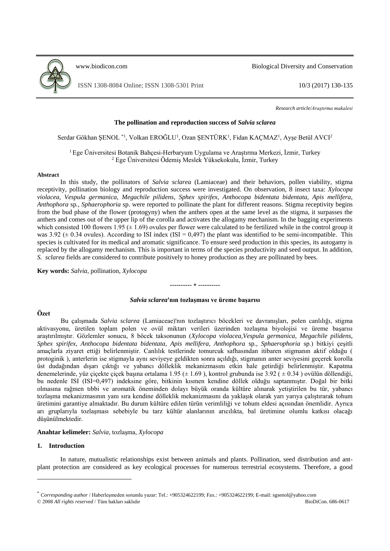

[www.biodicon.com](http://www.biodicon.com/) Biological Diversity and Conservation

ISSN 1308-8084 Online; ISSN 1308-5301 Print 10/3 (2017) 130-135

*Research article/Araştırma makalesi*

## **The pollination and reproduction success of** *Salvia sclarea*

Serdar Gökhan ŞENOL<sup>\*1</sup>, Volkan EROĞLU<sup>1</sup>, Ozan ŞENTÜRK<sup>1</sup>, Fidan KAÇMAZ<sup>1</sup>, Ayşe Betül AVCI<sup>2</sup>

<sup>1</sup>Ege Üniversitesi Botanik Bahçesi-Herbaryum Uygulama ve Araştırma Merkezi, İzmir, Turkey <sup>2</sup> Ege Üniversitesi Ödemiş Meslek Yüksekokulu, İzmir, Turkey

### **Abstract**

In this study, the pollinators of *Salvia sclarea* (Lamiaceae) and their behaviors, pollen viability, stigma receptivity, pollination biology and reproduction success were investigated. On observation, 8 insect taxa: *Xylocopa violacea, Vespula germanica, Megachile pilidens*, *Sphex spirifex*, *Anthocopa bidentata bidentata, Apis mellifera, Anthophora* sp*., Sphaerophoria* sp. were reported to pollinate the plant for different reasons. Stigma receptivity begins from the bud phase of the flower (protogyny) when the anthers open at the same level as the stigma, it surpasses the anthers and comes out of the upper lip of the corolla and activates the allogamy mechanism. In the bagging experiments which consisted 100 flowers 1.95 ( $\pm$  1.69) ovules per flower were calculated to be fertilized while in the control group it was 3.92 ( $\pm$  0.34 ovules). According to ISI index (ISI = 0,497) the plant was identified to be semi-incompatible. This species is cultivated for its medical and aromatic significance. To ensure seed production in this species, its autogamy is replaced by the allogamy mechanism. This is important in terms of the species productivity and seed output. In addition, *S. sclarea* fields are considered to contribute positively to honey production as they are pollinated by bees.

**Key words:** *Salvia*, pollination, *Xylocopa*

#### *Salvia sclarea***'nın tozlaşması ve üreme başarısı**

**---------- ----------**

# **Özet**

Bu çalışmada *Salvia sclarea* (Lamiaceae)'nın tozlaştırıcı böcekleri ve davranışları, polen canlılığı, stigma aktivasyonu, üretilen toplam polen ve ovül miktarı verileri üzerinden tozlaşma biyolojisi ve üreme başarısı araştırılmıştır. Gözlemler sonucu, 8 böcek taksonunun (*Xylocopa violacea,Vespula germanica, Megachile pilidens*, *Sphex spirifex*, *Anthocopa bidentata bidentata, Apis mellifera, Anthophora* sp*., Sphaerophoria* sp.) bitkiyi çeşitli amaçlarla ziyaret ettiği belirlenmiştir. Canlılık testlerinde tomurcuk safhasından itibaren stigmanın aktif olduğu ( protoginik ), anterlerin ise stigmayla aynı seviyeye geldikten sonra açıldığı, stigmanın anter seviyesini geçerek korolla üst dudağından dışarı çıktığı ve yabancı dölleklik mekanizmasını etkin hale getirdiği belirlenmiştir. Kapatma denemelerinde, yüz çiçekte çiçek başına ortalama 1.95 ( $\pm$  1.69), kontrol grubunda ise 3.92 ( $\pm$  0.34) ovülün döllendiği, bu nedenle ISI (ISI=0,497) indeksine göre, bitkinin kısmen kendine döllek olduğu saptanmıştır. Doğal bir bitki olmasına rağmen tıbbi ve aromatik öneminden dolayı büyük oranda kültüre alınarak yetiştirilen bu tür, yabancı tozlaşma mekanizmasının yanı sıra kendine dölleklik mekanizmasını da yaklaşık olarak yarı yarıya çalıştırarak tohum üretimini garantiye almaktadır. Bu durum kültüre edilen türün verimliliği ve tohum eldesi açısından önemlidir. Ayrıca arı gruplarıyla tozlaşması sebebiyle bu tarz kültür alanlarının arıcılıkta, bal üretimine olumlu katkısı olacağı düşünülmektedir.

## **Anahtar kelimeler:** *Salvia,* tozlaşma, *Xylocopa*

### **1. Introduction**

 $\overline{a}$ 

In nature, mutualistic relationships exist between animals and plants. Pollination, seed distribution and antplant protection are considered as key ecological processes for numerous terrestrial ecosystems. Therefore, a good

<sup>\*</sup> *Corresponding author* / Haberleşmeden sorumlu yazar: Tel.: +905324622199; Fax.: +905324622199; E-mail: sgsenol@yahoo.com © 2008 *All rights reserved* / Tüm hakları saklıdır BioDiCon. 686-0617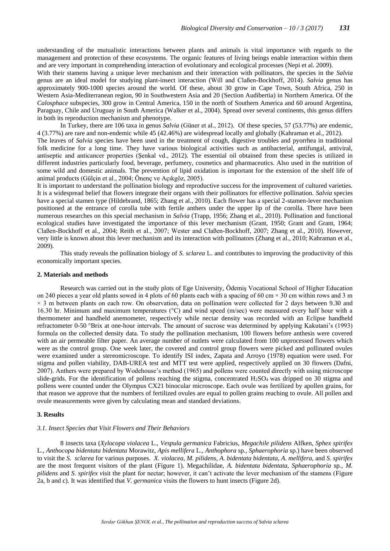understanding of the mutualistic interactions between plants and animals is vital importance with regards to the management and protection of these ecosystems. The organic features of living beings enable interaction within them and are very important in comprehending interaction of evolutionary and ecological processes (Nepi et al. 2009).

With their stamens having a unique lever mechanism and their interaction with pollinators, the species in the *Salvia*  genus are an ideal model for studying plant-insect interaction (Will and Claßen-Bockhoff, 2014). *Salvia* genus has approximately 900-1000 species around the world. Of these, about 30 grow in Cape Town, South Africa, 250 in Western Asia-Mediterranean region, 90 in Southwestern Asia and 20 (Section Audibertia) in Northern America. Of the *Calosphace* subspecies, 300 grow in Central America, 150 in the north of Southern America and 60 around Argentina, Paraguay, Chile and Uruguay in South America (Walker et al., 2004). Spread over several continents, this genus differs in both its reproduction mechanism and phenotype.

In Turkey, there are 106 taxa in genus *Salvia* (Güner et al., 2012). Of these species, 57 (53.77%) are endemic, 4 (3.77%) are rare and non-endemic while 45 (42.46%) are widespread locally and globally (Kahraman et al., 2012).

The leaves of *Salvia* species have been used in the treatment of cough, digestive troubles and pyorrhea in traditional folk medicine for a long time. They have various biological activities such as antibacterial, antifungal, antiviral, antiseptic and anticancer properties (Şenkal vd., 2012). The essential oil obtained from these species is utilized in different industries particularly food, beverage, perfumery, cosmetics and pharmaceutics. Also used in the nutrition of some wild and domestic animals. The prevention of lipid oxidation is important for the extension of the shelf life of animal products (Gülçin et al., 2004; Önenç ve Açıkgöz, 2005).

It is important to understand the pollination biology and reproductive success for the improvement of cultured varieties. It is a widespread belief that flowers integrate their organs with their pollinators for effective pollination. *Salvia* species have a special stamen type (Hildebrand, 1865; Zhang et al., 2010). Each flower has a special 2-stamen-lever mechanism positioned at the entrance of corolla tube with fertile anthers under the upper lip of the corolla. There have been numerous researches on this special mechanism in *Salvia* (Trapp, 1956; Zhang et al., 2010). Pollination and functional ecological studies have investigated the importance of this lever mechanism (Grant, 1950; Grant and Grant, 1964; Claßen-Bockhoff et al., 2004; Reith et al., 2007; Wester and Claßen-Bockhoff, 2007; Zhang et al., 2010). However, very little is known about this lever mechanism and its interaction with pollinators (Zhang et al., 2010; Kahraman et al., 2009).

This study reveals the pollination biology of *S. sclarea* L. and contributes to improving the productivity of this economically important species.

### **2. Materials and methods**

Research was carried out in the study plots of Ege University, Ödemiş Vocational School of Higher Education on 240 pieces a year old plants sowed in 4 plots of 60 plants each with a spacing of 60 cm  $\times$  30 cm within rows and 3 m  $\times$  3 m between plants on each row. On observation, data on pollination were collected for 2 days between 9.30 and 16.30 hr. Minimum and maximum temperatures (°C) and wind speed (m/sec) were measured every half hour with a thermometer and handheld anemometer, respectively while nectar density was recorded with an Eclipse handheld refractometer 0-50 °Brix at one-hour intervals. The amount of sucrose was determined by applying Kakutani's (1993) formula on the collected density data. To study the pollination mechanism, 100 flowers before anthesis were covered with an air permeable filter paper. An average number of nutlets were calculated from 100 unprocessed flowers which were as the control group. One week later, the covered and control group flowers were picked and pollinated ovules were examined under a stereomicroscope. To identify ISI index, Zapata and Arroyo (1978) equation were used. For stigma and pollen viability, DAB-UREA test and MTT test were applied, respectively applied on 30 flowers (Dafni, 2007). Anthers were prepared by Wodehouse's method (1965) and pollens were counted directly with using microscope slide-grids. For the identification of pollens reaching the stigma, concentrated  $H_2SO_4$  was dripped on 30 stigma and pollens were counted under the Olympus CX21 binocular microscope. Each ovule was fertilized by apollen grains, for that reason we approve that the numbers of fertilized ovules are equal to pollen grains reaching to ovule. All pollen and ovule measurements were given by calculating mean and standard deviations.

### **3. Results**

### *3.1. Insect Species that Visit Flowers and Their Behaviors*

8 insects taxa (*Xylocopa violacea* L.*, Vespula germanica* Fabricius*, Megachile pilidens* Alfken, *Sphex spirifex*  L., *Anthocopa bidentata bidentata* Morawitz*, Apis mellifera* L.*, Anthophora* sp*., Sphaerophoria* sp.) have been observed to visit the *S. sclarea* for various purposes. *X. violacea, M. pilidens, A. bidentata bidentata, A. mellifera,* and *S. spirifex*  are the most frequent visitors of the plant (Figure 1). Megachilidae, *A. bidentata bidentata, Sphaerophoria* sp*., M. pilidens* and *S. spirifex v*isit the plant for nectar; however, it can't activate the lever mechanism of the stamens (Figure 2a, b and c). It was identified that *V. germanica* visits the flowers to hunt insects (Figure 2d).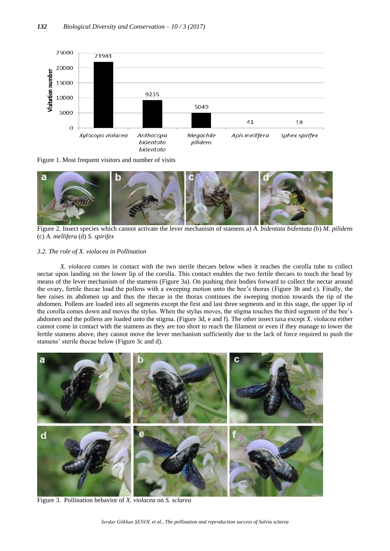

Figure 1. Most frequent visitors and number of visits



Figure 2. Insect species which cannot activate the lever mechanism of stamens a) *A. bidentata bidentata* (b) *M. pilidens* (c) *A. mellifera* (d) *S. spirifex*

## *3.2. The role of X. violacea in Pollination*

*X. violacea* comes in contact with the two sterile thecaes below when it reaches the corolla tube to collect nectar upon landing on the lower lip of the corolla. This contact enables the two fertile thecaes to touch the head by means of the lever mechanism of the stamens (Figure 3a). On pushing their bodies forward to collect the nectar around the ovary, fertile thecae load the pollens with a sweeping motion unto the bee's thorax (Figure 3b and c). Finally, the bee raises its abdomen up and thus the thecae in the thorax continues the sweeping motion towards the tip of the abdomen. Pollens are loaded into all segments except the first and last three segments and in this stage, the upper lip of the corolla comes down and moves the stylus. When the stylus moves, the stigma touches the third segment of the bee's abdomen and the pollens are loaded unto the stigma. (Figure 3d, e and f). The other insect taxa except *X. violacea* either cannot come in contact with the stamens as they are too short to reach the filament or even if they manage to lower the fertile stamens above, they cannot move the lever mechanism sufficiently due to the lack of force required to push the stamens' sterile thecae below (Figure 3c and d).



Figure 3.Pollination behavior of *X. violacea* on *S. sclarea*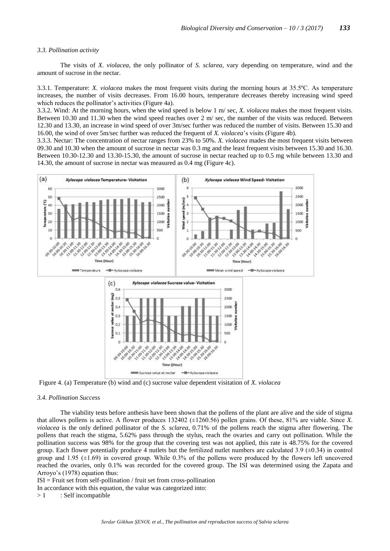#### *3.3. Pollination activity*

The visits of *X. violacea*, the only pollinator of *S. sclarea,* vary depending on temperature, wind and the amount of sucrose in the nectar.

3.3.1. Temperature: *X. violacea* makes the most frequent visits during the morning hours at 35.5ºC. As temperature increases, the number of visits decreases. From 16.00 hours, temperature decreases thereby increasing wind speed which reduces the pollinator's activities (Figure 4a).

3.3.2. Wind: At the morning hours, when the wind speed is below 1 m/ sec, *X. violacea* makes the most frequent visits. Between 10.30 and 11.30 when the wind speed reaches over 2 m/ sec, the number of the visits was reduced. Between 12.30 and 13.30, an increase in wind speed of over 3m/sec further was reduced the number of visits. Between 15.30 and 16.00, the wind of over 5m/sec further was reduced the frequent of *X. violacea*'s visits (Figure 4b).

3.3.3. Nectar: The concentration of nectar ranges from 23% to 50%. *X. violacea* mades the most frequent visits between 09.30 and 10.30 when the amount of sucrose in nectar was 0.3 mg and the least frequent visits between 15.30 and 16.30. Between 10.30-12.30 and 13.30-15.30, the amount of sucrose in nectar reached up to 0.5 mg while between 13.30 and 14.30, the amount of sucrose in nectar was measured as 0.4 mg (Figure 4c).



Figure 4. (a) Temperature (b) wind and (c) sucrose value dependent visitation of *X. violacea*

#### *3.4. Pollination Success*

The viability tests before anthesis have been shown that the pollens of the plant are alive and the side of stigma that allows pollens is active. A flower produces 132402 (±1260.56) pollen grains. Of these, 81% are viable. Since *X. violacea* is the only defined pollinator of the *S. sclarea*, 0.71% of the pollens reach the stigma after flowering. The pollens that reach the stigma, 5.62% pass through the stylus, reach the ovaries and carry out pollination. While the pollination success was 98% for the group that the covering test was not applied, this rate is 48.75% for the covered group. Each flower potentially produce 4 nutlets but the fertilized nutlet numbers are calculated  $3.9 \ (\pm 0.34)$  in control group and 1.95 (±1.69) in covered group. While 0.3% of the pollens were produced by the flowers left uncovered reached the ovaries, only 0.1% was recorded for the covered group. The ISI was determined using the Zapata and Arroyo's (1978) equation thus:

 $ISI = Fruit set from self-pollination / fruit set from cross-pollination$ 

In accordance with this equation, the value was categorized into:

 $> 1$  : Self incompatible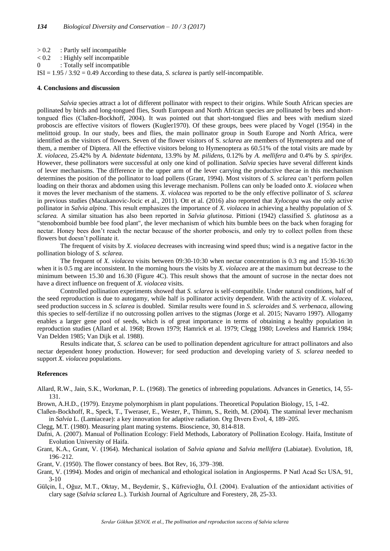- > 0.2 : Partly self incompatible
- $< 0.2$  : Highly self incompatible
- 0 : Totally self incompatible

ISI = 1.95 / 3.92 = 0.49 According to these data, *S. sclarea* is partly self-incompatible.

### **4. Conclusions and discussion**

*Salvia* species attract a lot of different pollinator with respect to their origins. While South African species are pollinated by birds and long-tongued flies, South European and North African species are pollinated by bees and shorttongued flies (Claßen-Bockhoff, 2004). It was pointed out that short-tongued flies and bees with medium sized proboscis are effective visitors of flowers (Kugler1970). Of these groups, bees were placed by Vogel (1954) in the melittoid group. In our study, bees and flies, the main pollinator group in South Europe and North Africa, were identified as the visitors of flowers. Seven of the flower visitors of S. *sclarea* are members of Hymenoptera and one of them, a member of Diptera. All the effective visitors belong to Hymenoptera as 60.51% of the total visits are made by *X. violacea*, 25.42% by *A. bidentate bidentata*, 13.9% by *M. pilidens*, 0.12% by *A. mellifera* and 0.4% by *S. spirifex.*  However, these pollinators were successful at only one kind of pollination. *Salvia* species have several different kinds of lever mechanisms. The difference in the upper arm of the lever carrying the productive thecae in this mechanism determines the position of the pollinator to load pollens (Grant, 1994). Most visitors of *S. sclarea* can't perform pollen loading on their thorax and abdomen using this leverage mechanism. Pollens can only be loaded onto *X. violacea* when it moves the lever mechanism of the stamens. *X. violacea* was reported to be the only effective pollinator of *S. sclarea* in previous studies (Macukanovic-Jocic et al., 2011). Ott et al. (2016) also reported that *Xylocopa* was the only active pollinator in *Salvia alpina*. This result emphasizes the importance of *X. violacea* in achieving a healthy population of *S. sclarea.* A similar situation has also been reported in *Salvia glutinosa*. Pittioni (1942) classified *S. glutinosa* as a "stenobomboid bumble bee food plant", the lever mechanism of which hits bumble bees on the back when foraging for nectar. Honey bees don't reach the nectar because of the shorter proboscis, and only try to collect pollen from these flowers but doesn't pollinate it.

The frequent of visits by *X. violacea* decreases with increasing wind speed thus; wind is a negative factor in the pollination biology of *S. sclarea.*

The frequent of *X. violacea* visits between 09:30-10:30 when nectar concentration is 0.3 mg and 15:30-16:30 when it is 0.5 mg are inconsistent. In the morning hours the visits by *X. violacea* are at the maximum but decrease to the minimum between 15.30 and 16.30 (Figure 4C). This result shows that the amount of sucrose in the nectar does not have a direct influence on frequent of *X. violacea* visits.

Controlled pollination experiments showed that *S. sclarea* is self-compatibile. Under natural conditions, half of the seed reproduction is due to autogamy, while half is pollinator activity dependent. With the activity of *X. violacea*, seed production success in *S. sclarea* is doubled. Similar results were found in *S. scleroides* and *S. verbenaca*, allowing this species to self-fertilize if no outcrossing pollen arrives to the stigmas (Jorge et al. 2015; Navarro 1997). Allogamy enables a larger gene pool of seeds, which is of great importance in terms of obtaining a healthy population in reproduction studies (Allard et al. 1968; Brown 1979; Hamrick et al. 1979; Clegg 1980; Loveless and Hamrick 1984; Van Delden 1985; Van Dijk et al. 1988).

Results indicate that, *S. sclarea* can be used to pollination dependent agriculture for attract pollinators and also nectar dependent honey production. However; for seed production and developing variety of *S. sclarea* needed to support *X. violacea* populations.

## **References**

- Allard, R.W., Jain, S.K., Workman, P. L. (1968). The genetics of inbreeding populations. Advances in Genetics, 14, 55- 131.
- Brown, A.H.D., (1979). Enzyme polymorphism in plant populations. Theoretical Population Biology, 15, 1-42.
- Claßen-Bockhoff, R., Speck, T., Tweraser, E., Wester, P., Thimm, S., Reith, M. (2004). The staminal lever mechanism in *Salvia* L. (Lamiaceae): a key innovation for adaptive radiation. Org Dıvers Evol, 4, 189–205.

Clegg, M.T. (1980). Measuring plant mating systems. Bioscience, 30, 814-818.

- Dafni, A. (2007). Manual of Pollination Ecology: Field Methods, Laboratory of Pollination Ecology. Haifa, Institute of Evolution University of Haifa.
- Grant, K.A., Grant, V. (1964). Mechanical isolation of *Salvia apiana* and *Salvia mellifera* (Labiatae). Evolution, 18, 196–212.

Grant, V. (1950). The flower constancy of bees. Bot Rev, 16, 379–398.

- Grant, V. (1994). Modes and origin of mechanical and ethological isolation in Angiosperms. P Natl Acad Scı USA, 91, 3-10
- Gülçin, İ., Oğuz, M.T., Oktay, M., Beydemir, Ş., Küfrevioğlu, Ö.İ. (2004). Evaluation of the antioxidant activities of clary sage (*Salvia sclarea* L.). Turkish Journal of Agriculture and Forestery, 28, 25-33.